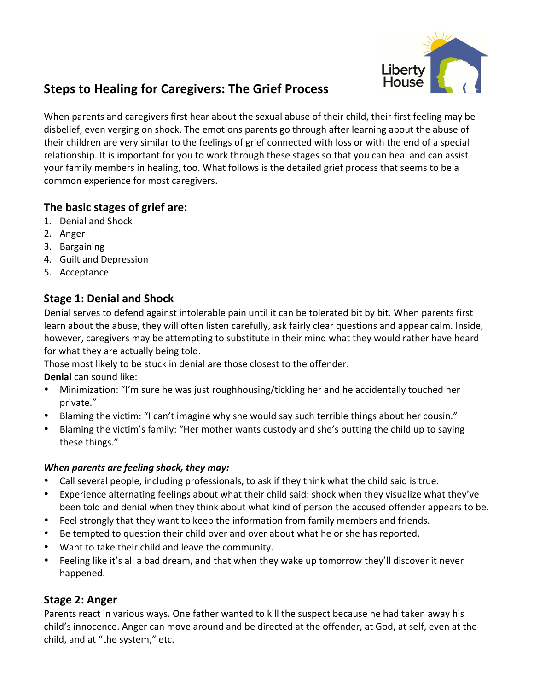

# **Steps to Healing for Caregivers: The Grief Process**

When parents and caregivers first hear about the sexual abuse of their child, their first feeling may be disbelief, even verging on shock. The emotions parents go through after learning about the abuse of their children are very similar to the feelings of grief connected with loss or with the end of a special relationship. It is important for you to work through these stages so that you can heal and can assist your family members in healing, too. What follows is the detailed grief process that seems to be a common experience for most caregivers.

# **The basic stages of grief are:**

- 1. Denial and Shock
- 2. Anger
- 3. Bargaining
- 4. Guilt and Depression
- 5. Acceptance

# **Stage 1: Denial and Shock**

Denial serves to defend against intolerable pain until it can be tolerated bit by bit. When parents first learn about the abuse, they will often listen carefully, ask fairly clear questions and appear calm. Inside, however, caregivers may be attempting to substitute in their mind what they would rather have heard for what they are actually being told.

Those most likely to be stuck in denial are those closest to the offender.

**Denial** can sound like:

- Minimization: "I'm sure he was just roughhousing/tickling her and he accidentally touched her private."
- Blaming the victim: "I can't imagine why she would say such terrible things about her cousin."
- Blaming the victim's family: "Her mother wants custody and she's putting the child up to saying these things."

### *When parents are feeling shock, they may:*

- Call several people, including professionals, to ask if they think what the child said is true.
- Experience alternating feelings about what their child said: shock when they visualize what they've been told and denial when they think about what kind of person the accused offender appears to be.
- Feel strongly that they want to keep the information from family members and friends.
- Be tempted to question their child over and over about what he or she has reported.
- Want to take their child and leave the community.
- Feeling like it's all a bad dream, and that when they wake up tomorrow they'll discover it never happened.

# **Stage 2: Anger**

Parents react in various ways. One father wanted to kill the suspect because he had taken away his child's innocence. Anger can move around and be directed at the offender, at God, at self, even at the child, and at "the system," etc.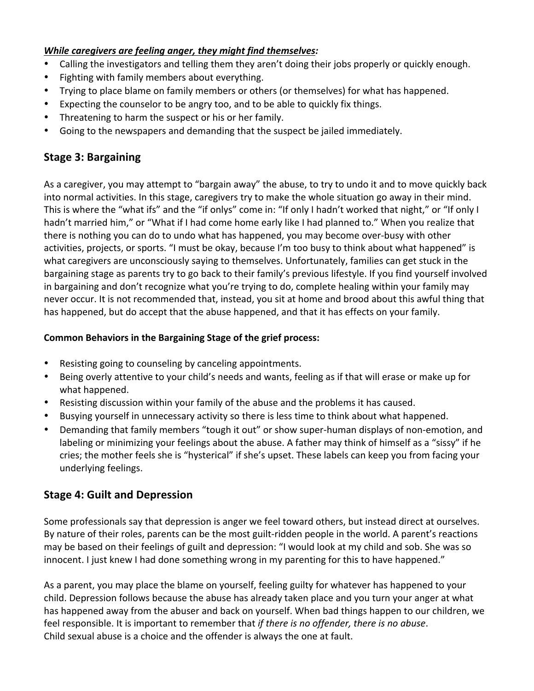#### *While caregivers are feeling anger, they might find themselves:*

- Calling the investigators and telling them they aren't doing their jobs properly or quickly enough.
- Fighting with family members about everything.
- Trying to place blame on family members or others (or themselves) for what has happened.
- Expecting the counselor to be angry too, and to be able to quickly fix things.
- Threatening to harm the suspect or his or her family.
- Going to the newspapers and demanding that the suspect be jailed immediately.

### **Stage 3: Bargaining**

As a caregiver, you may attempt to "bargain away" the abuse, to try to undo it and to move quickly back into normal activities. In this stage, caregivers try to make the whole situation go away in their mind. This is where the "what ifs" and the "if onlys" come in: "If only I hadn't worked that night," or "If only I hadn't married him," or "What if I had come home early like I had planned to." When you realize that there is nothing you can do to undo what has happened, you may become over-busy with other activities, projects, or sports. "I must be okay, because I'm too busy to think about what happened" is what caregivers are unconsciously saying to themselves. Unfortunately, families can get stuck in the bargaining stage as parents try to go back to their family's previous lifestyle. If you find yourself involved in bargaining and don't recognize what you're trying to do, complete healing within your family may never occur. It is not recommended that, instead, you sit at home and brood about this awful thing that has happened, but do accept that the abuse happened, and that it has effects on your family.

#### **Common Behaviors in the Bargaining Stage of the grief process:**

- Resisting going to counseling by canceling appointments.
- Being overly attentive to your child's needs and wants, feeling as if that will erase or make up for what happened.
- Resisting discussion within your family of the abuse and the problems it has caused.
- Busying yourself in unnecessary activity so there is less time to think about what happened.
- Demanding that family members "tough it out" or show super-human displays of non-emotion, and labeling or minimizing your feelings about the abuse. A father may think of himself as a "sissy" if he cries; the mother feels she is "hysterical" if she's upset. These labels can keep you from facing your underlying feelings.

### **Stage 4: Guilt and Depression**

Some professionals say that depression is anger we feel toward others, but instead direct at ourselves. By nature of their roles, parents can be the most guilt-ridden people in the world. A parent's reactions may be based on their feelings of guilt and depression: "I would look at my child and sob. She was so innocent. I just knew I had done something wrong in my parenting for this to have happened."

As a parent, you may place the blame on yourself, feeling guilty for whatever has happened to your child. Depression follows because the abuse has already taken place and you turn your anger at what has happened away from the abuser and back on yourself. When bad things happen to our children, we feel responsible. It is important to remember that *if there is no offender, there is no abuse*. Child sexual abuse is a choice and the offender is always the one at fault.